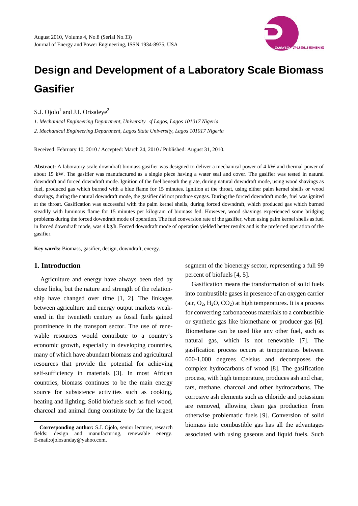

# **Design and Development of a Laboratory Scale Biomass Gasifier**

S.J. Ojolo<sup>1</sup> and J.I. Orisaleye<sup>2</sup>

*1. Mechanical Engineering Department, University* <sup>o</sup>*f Lagos, Lagos 101017 Nigeria 2. Mechanical Engineering Department, Lagos State University, Lagos 101017 Nigeria* 

Received: February 10, 2010 / Accepted: March 24, 2010 / Published: August 31, 2010.

**Abstract:** A laboratory scale downdraft biomass gasifier was designed to deliver a mechanical power of 4 kW and thermal power of about 15 kW. The gasifier was manufactured as a single piece having a water seal and cover. The gasifier was tested in natural downdraft and forced downdraft mode. Ignition of the fuel beneath the grate, during natural downdraft mode, using wood shavings as fuel, produced gas which burned with a blue flame for 15 minutes. Ignition at the throat, using either palm kernel shells or wood shavings, during the natural downdraft mode, the gasifier did not produce syngas. During the forced downdraft mode, fuel was ignited at the throat. Gasification was successful with the palm kernel shells, during forced downdraft, which produced gas which burned steadily with luminous flame for 15 minutes per kilogram of biomass fed. However, wood shavings experienced some bridging problems during the forced downdraft mode of operation. The fuel conversion rate of the gasifier, when using palm kernel shells as fuel in forced downdraft mode, was 4 kg/h. Forced downdraft mode of operation yielded better results and is the preferred operation of the gasifier.

**Key words:** Biomass, gasifier, design, downdraft, energy.

# **1. Introduction**

 $\overline{a}$ 

Agriculture and energy have always been tied by close links, but the nature and strength of the relationship have changed over time [1, 2]. The linkages between agriculture and energy output markets weakened in the twentieth century as fossil fuels gained prominence in the transport sector. The use of renewable resources would contribute to a country's economic growth, especially in developing countries, many of which have abundant biomass and agricultural resources that provide the potential for achieving self-sufficiency in materials [3]. In most African countries, biomass continues to be the main energy source for subsistence activities such as cooking, heating and lighting. Solid biofuels such as fuel wood, charcoal and animal dung constitute by far the largest

**Corresponding author:** S.J. Ojolo, senior lecturer, research fields: design and manufacturing, renewable energy. E-mail:ojolosunday@yahoo.com.

segment of the bioenergy sector, representing a full 99 percent of biofuels [4, 5].

Gasification means the transformation of solid fuels into combustible gases in presence of an oxygen carrier (air,  $O_2$ ,  $H_2O$ ,  $CO_2$ ) at high temperatures. It is a process for converting carbonaceous materials to a combustible or synthetic gas like biomethane or producer gas [6]. Biomethane can be used like any other fuel, such as natural gas, which is not renewable [7]. The gasification process occurs at temperatures between 600-1,000 degrees Celsius and decomposes the complex hydrocarbons of wood [8]. The gasification process, with high temperature, produces ash and char, tars, methane, charcoal and other hydrocarbons. The corrosive ash elements such as chloride and potassium are removed, allowing clean gas production from otherwise problematic fuels [9]. Conversion of solid biomass into combustible gas has all the advantages associated with using gaseous and liquid fuels. Such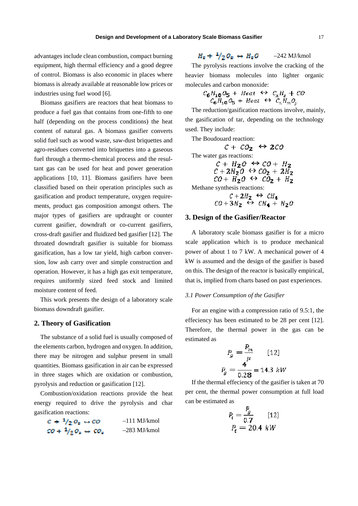advantages include clean combustion, compact burning equipment, high thermal efficiency and a good degree of control. Biomass is also economic in places where biomass is already available at reasonable low prices or industries using fuel wood [6].

Biomass gasifiers are reactors that heat biomass to produce a fuel gas that contains from one-fifth to one half (depending on the process conditions) the heat content of natural gas. A biomass gasifier converts solid fuel such as wood waste, saw-dust briquettes and agro-residues converted into briquettes into a gaseous fuel through a thermo-chemical process and the resultant gas can be used for heat and power generation applications [10, 11]. Biomass gasifiers have been classified based on their operation principles such as gasification and product temperature, oxygen requirements, product gas composition amongst others. The major types of gasifiers are updraught or counter current gasifier, downdraft or co-current gasifiers, cross-draft gasifier and fluidized bed gasifier [12]. The throated downdraft gasifier is suitable for biomass gasification, has a low tar yield, high carbon conversion, low ash carry over and simple construction and operation. However, it has a high gas exit temperature, requires uniformly sized feed stock and limited moisture content of feed.

This work presents the design of a laboratory scale biomass downdraft gasifier.

# **2. Theory of Gasification**

The substance of a solid fuel is usually composed of the elements carbon, hydrogen and oxygen. In addition, there may be nitrogen and sulphur present in small quantities. Biomass gasification in air can be expressed in three stages which are oxidation or combustion, pyrolysis and reduction or gasification [12].

Combustion/oxidation reactions provide the heat energy required to drive the pyrolysis and char gasification reactions:

| $c + \frac{1}{2} o_s \leftrightarrow co$                                | $-111$ MJ/kmol |
|-------------------------------------------------------------------------|----------------|
| $\mathcal{O} + \frac{1}{2} \mathcal{O}_2 \leftrightarrow \mathcal{O}_2$ | $-283$ MJ/kmol |

$$
H_{\rm g} + \frac{1}{2} Q_{\rm g} \leftrightarrow H_{\rm g} Q \qquad -242 \,\text{MJ/kmol}
$$

The pyrolysis reactions involve the cracking of the heavier biomass molecules into lighter organic molecules and carbon monoxide:

$$
C_6H_{10}O_5 + Heat \leftrightarrow C_xH_z + CO
$$
  
 $C_6H_{10}O_5 + Heat \leftrightarrow C_xH_mO_y$ 

The reduction/gasification reactions involve, mainly, the gasification of tar, depending on the technology used. They include:

The Boudouard reaction:

 $c + c o_2 \leftrightarrow 2c o$ The water gas reactions:  $C + H_2O \leftrightarrow CO + H_2$  $C+2H_2O \leftrightarrow CO_2+2H_2$  $\overline{CO}$  +  $H_2O \leftrightarrow CO_2$  +  $H_2$ Methane synthesis reactions:  $C+2H_2 \leftrightarrow CH_2$ 

$$
CO + 3H_2 \leftrightarrow CH_4 + H_2O
$$

# **3. Design of the Gasifier/Reactor**

A laboratory scale biomass gasifier is for a micro scale application which is to produce mechanical power of about 1 to 7 kW. A mechanical power of 4 kW is assumed and the design of the gasifier is based on this. The design of the reactor is basically empirical, that is, implied from charts based on past experiences.

# *3.1 Power Consumption of the Gasifier*

For an engine with a compression ratio of 9.5:1, the effeciency has been estimated to be 28 per cent [12]. Therefore, the thermal power in the gas can be estimated as

$$
P_g = \frac{P_m}{\mu} \qquad [12]
$$

$$
P_g = \frac{4}{0.28} = 14.3 \text{ kW}
$$

If the thermal effeciency of the gasifier is taken at 70 per cent, the thermal power consumption at full load can be estimated as

$$
P_t = \frac{P_g}{0.7} \qquad [12]
$$
  

$$
P_t = 20.4 \, kW
$$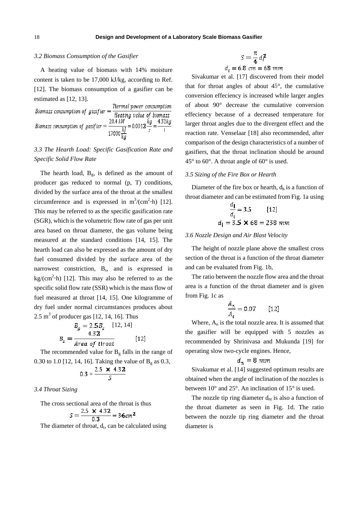# *3.2 Biomass Consumption of the Gasifier*

A heating value of biomass with 14% moisture content is taken to be 17,000 kJ/kg, according to Ref. [12]. The biomass consumption of a gasifier can be estimated as [12, 13].

Biomass consumption of gasifier = 
$$
\frac{\text{Termal power consumption}}{\text{Heating value of biomass}}
$$
\n
$$
\text{Biomass consumption of gasifier} = \frac{20.4 \text{ kW}}{17000 \frac{\text{kJ}}{\text{kg}}} = 0.0012 \frac{\text{kg}}{\text{s}} = \frac{4.32 \text{kg}}{\text{l}}
$$

# *3.3 The Hearth Load: Specific Gasification Rate and Specific Solid Flow Rate*

The hearth load,  $B_g$ , is defined as the amount of producer gas reduced to normal (p, T) conditions, divided by the surface area of the throat at the smallest circumference and is expressed in  $m^3/(cm^2 \cdot h)$  [12]. This may be referred to as the specific gasification rate (SGR), which is the volumetric flow rate of gas per unit area based on throat diameter, the gas volume being measured at the standard conditions [14, 15]. The hearth load can also be expressed as the amount of dry fuel consumed divided by the surface area of the narrowest constriction, B<sub>s</sub>, and is expressed in  $\text{kg/(cm}^2\text{-}\text{h})$  [12]. This may also be referred to as the specific solid flow rate (SSR) which is the mass flow of fuel measured at throat [14, 15]. One kilogramme of dry fuel under normal circumstances produces about 2.5 m<sup>3</sup> of producer gas  $[12, 14, 16]$ . Thus

$$
B_g = 2.5B_s \quad [12, 14]
$$
  

$$
B_s = \frac{4.32}{Area \ of \ thread} \quad [12]
$$

The recommended value for  $B<sub>g</sub>$  falls in the range of 0.30 to 1.0 [12, 14, 16]. Taking the value of  $B_g$  as 0.3,

$$
0.3 = \frac{2.5 \times 4.32}{S}
$$

*3.4 Throat Sizing* 

The cross sectional area of the throat is thus

$$
S = \frac{2.5 \times 4.32}{0.3} = 36 \, \text{cm}^2
$$

The diameter of throat,  $d_t$ , can be calculated using

$$
S = \frac{\pi}{4} d_t^2
$$
  

$$
d_t = 6.8 \text{ cm} = 68 \text{ mm}
$$

Sivakumar et al. [17] discovered from their model that for throat angles of about 45°, the cumulative conversion effeciency is increased while larger angles of about 90° decrease the cumulative conversion effeciency because of a decreased temperature for larger throat angles due to the divergent effect and the reaction rate. Venselaar [18] also recommended, after comparison of the design characteristics of a number of gasifiers, that the throat inclination should be around 45° to 60°. A throat angle of 60° is used.

#### *3.5 Sizing of the Fire Box or Hearth*

Diameter of the fire box or hearth,  $d_h$  is a function of throat diameter and can be estimated from Fig. 1a using

$$
\frac{a_1}{d_t} = 3.5 \qquad [12]
$$
  
d<sub>1</sub> = 3.5  $\times$  68 = 238 mm

#### *3.6 Nozzle Design and Air Blast Velocity*

The height of nozzle plane above the smallest cross section of the throat is a function of the throat diameter and can be evaluated from Fig. 1b,

The ratio between the nozzle flow area and the throat area is a function of the throat diameter and is given from Fig. 1c as

$$
\frac{A_{\pi}}{A_{t}} = 0.07 \qquad [12]
$$

Where,  $A_n$  is the total nozzle area. It is assumed that the gasifier will be equipped with 5 nozzles as recommended by Shrinivasa and Mukunda [19] for operating slow two-cycle engines. Hence,

$$
d_{\pi} = 8 \; mm
$$

Sivakumar et al. [14] suggested optimum results are obtained when the angle of inclination of the nozzles is between 10° and 25°. An inclination of 15° is used.

The nozzle tip ring diameter  $d_{nt}$  is also a function of the throat diameter as seen in Fig. 1d. The ratio between the nozzle tip ring diameter and the throat diameter is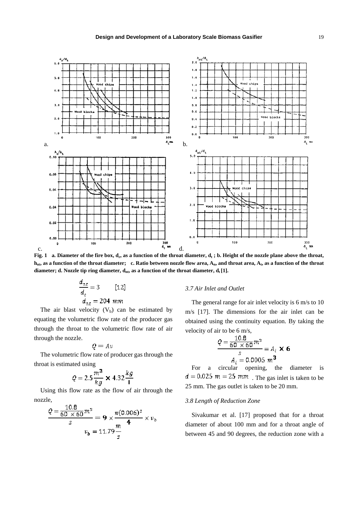

Fig. 1 a. Diameter of the fire box,  $d_r$ , as a function of the throat diameter,  $d_t$ ; b. Height of the nozzle plane above the throat, **h<sub>nt</sub>, as a function of the throat diameter; c. Ratio between nozzle flow area, A<sub>n</sub>, and throat area, A<sub>t</sub>, as a function of the throat** diameter; d. Nozzle tip ring diameter,  $d_{nt}$ , as a function of the throat diameter,  $d_t[1]$ .

$$
\frac{d_{\pi t}}{d_t} = 3
$$
 [12]  

$$
d_{\pi t} = 204 \text{ mm}
$$

The air blast velocity  $(V_b)$  can be estimated by equating the volumetric flow rate of the producer gas through the throat to the volumetric flow rate of air through the nozzle.

$$
Q = Av
$$

The volumetric flow rate of producer gas through the throat is estimated using

$$
Q = 2.5 \frac{m^3}{kg} \times 4.32 \frac{kg}{I}
$$

Using this flow rate as the flow of air through the nozzle,

$$
\frac{Q = \frac{10.8}{60 \times 60} m^3}{s} = 9 \times \frac{\pi (0.006)^2}{4} \times v_b
$$

$$
v_b = 11.79 \frac{m}{s}
$$

#### *3.7 Air Inlet and Outlet*

The general range for air inlet velocity is 6 m/s to 10 m/s [17]. The dimensions for the air inlet can be obtained using the continuity equation. By taking the velocity of air to be 6 m/s,

$$
\frac{Q = \frac{10.8}{60 \times 60} m^3}{\frac{s}{A_i} = 0.0005 m^3} = A_i \times 6
$$

For a circular opening, the diameter is  $d = 0.025$   $m = 25$   $mm$ . The gas inlet is taken to be 25 mm. The gas outlet is taken to be 20 mm.

#### *3.8 Length of Reduction Zone*

Sivakumar et al. [17] proposed that for a throat diameter of about 100 mm and for a throat angle of between 45 and 90 degrees, the reduction zone with a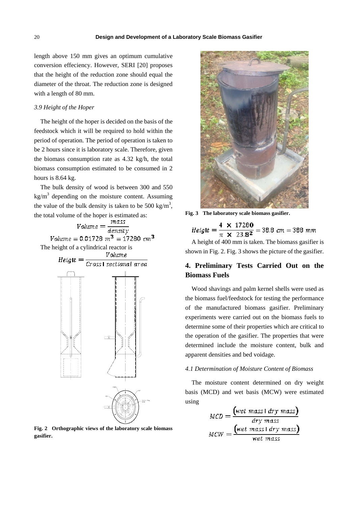length above 150 mm gives an optimum cumulative conversion effeciency. However, SERI [20] proposes that the height of the reduction zone should equal the diameter of the throat. The reduction zone is designed with a length of 80 mm.

#### *3.9 Height of the Hoper*

The height of the hoper is decided on the basis of the feedstock which it will be required to hold within the period of operation. The period of operation is taken to be 2 hours since it is laboratory scale. Therefore, given the biomass consumption rate as 4.32 kg/h, the total biomass consumption estimated to be consumed in 2 hours is 8.64 kg.

The bulk density of wood is between 300 and 550  $\text{kg/m}^3$  depending on the moisture content. Assuming the value of the bulk density is taken to be 500 kg/m<sup>3</sup>,

the total volume of the hoper is estimated as:<br>  $Volume = \frac{mass}{density}$ <br>  $Volume = 0.01728 m^3 = 17280 cm^3$ The height of a cylindrical reactor is



**Fig. 2 Orthographic views of the laboratory scale biomass gasifier.** 



**Fig. 3 The laboratory scale biomass gasifier.** 

 $Height = \frac{4 \times 17280}{\pi \times 23.8^2} = 38.8$  cm = 388 mm

A height of 400 mm is taken. The biomass gasifier is shown in Fig. 2. Fig. 3 shows the picture of the gasifier.

# **4. Preliminary Tests Carried Out on the Biomass Fuels**

Wood shavings and palm kernel shells were used as the biomass fuel/feedstock for testing the performance of the manufactured biomass gasifier. Preliminary experiments were carried out on the biomass fuels to determine some of their properties which are critical to the operation of the gasifier. The properties that were determined include the moisture content, bulk and apparent densities and bed voidage.

#### *4.1 Determination of Moisture Content of Biomass*

The moisture content determined on dry weight basis (MCD) and wet basis (MCW) were estimated using

$$
MCD = \frac{\text{(wet mass 1 dry mass)}}{\text{dry mass}}
$$

$$
MCW = \frac{\text{(wet mass 1 dry mass)}}{\text{wet mass}}
$$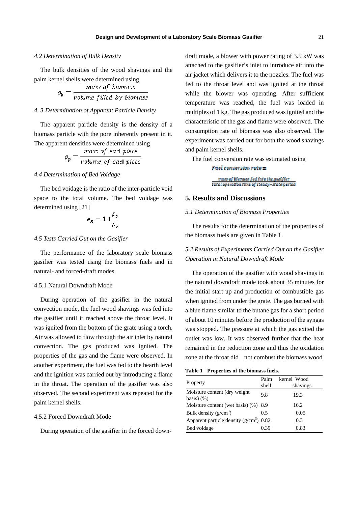## *4.2 Determination of Bulk Density*

The bulk densities of the wood shavings and the palm kernel shells were determined using

$$
\rho_b = \frac{mass \ of \ biomass}{volume \ filled \ by \ biomass}
$$

#### *4. 3 Determination of Apparent Particle Density*

The apparent particle density is the density of a biomass particle with the pore inherently present in it. The apparent densities were determined using

$$
\rho_p = \frac{mass \text{ of each piece}}{volume \text{ of each piece}}
$$

#### *4.4 Determination of Bed Voidage*

The bed voidage is the ratio of the inter-particle void space to the total volume. The bed voidage was determined using [21]

$$
\epsilon_B = \mathbf{1} \mathbf{1} \frac{\rho_b}{\rho_p}
$$

#### *4.5 Tests Carried Out on the Gasifier*

The performance of the laboratory scale biomass gasifier was tested using the biomass fuels and in natural- and forced-draft modes.

# 4.5.1 Natural Downdraft Mode

During operation of the gasifier in the natural convection mode, the fuel wood shavings was fed into the gasifier until it reached above the throat level. It was ignited from the bottom of the grate using a torch. Air was allowed to flow through the air inlet by natural convection. The gas produced was ignited. The properties of the gas and the flame were observed. In another experiment, the fuel was fed to the hearth level and the ignition was carried out by introducing a flame in the throat. The operation of the gasifier was also observed. The second experiment was repeated for the palm kernel shells.

# 4.5.2 Forced Downdraft Mode

During operation of the gasifier in the forced down-

draft mode, a blower with power rating of 3.5 kW was attached to the gasifier's inlet to introduce air into the air jacket which delivers it to the nozzles. The fuel was fed to the throat level and was ignited at the throat while the blower was operating. After sufficient temperature was reached, the fuel was loaded in multiples of 1 kg. The gas produced was ignited and the characteristic of the gas and flame were observed. The consumption rate of biomass was also observed. The experiment was carried out for both the wood shavings and palm kernel shells.

The fuel conversion rate was estimated using

### $Fuel$  conversion  $rate =$

mass of blomass fed into the gasifier tatal operation time of steady-state period

# **5. Results and Discussions**

### *5.1 Determination of Biomass Properties*

The results for the determination of the properties of the biomass fuels are given in Table 1.

# *5.2 Results of Experiments Carried Out on the Gasifier Operation in Natural Downdraft Mode*

The operation of the gasifier with wood shavings in the natural downdraft mode took about 35 minutes for the initial start up and production of combustible gas when ignited from under the grate. The gas burned with a blue flame similar to the butane gas for a short period of about 10 minutes before the production of the syngas was stopped. The pressure at which the gas exited the outlet was low. It was observed further that the heat remained in the reduction zone and thus the oxidation zone at the throat did not combust the biomass wood

| Property                                       | Palm<br>shell | kernel Wood<br>shavings |
|------------------------------------------------|---------------|-------------------------|
| Moisture content (dry weight)<br>basis $(y_6)$ | 9.8           | 19.3                    |
| Moisture content (wet basis) (%) 8.9           |               | 16.2                    |
| Bulk density $(g/cm^3)$                        | 0.5           | 0.05                    |
| Apparent particle density $(g/cm^3)$ 0.82      |               | 0.3                     |
| Bed voidage                                    | 0.39          | 0.83                    |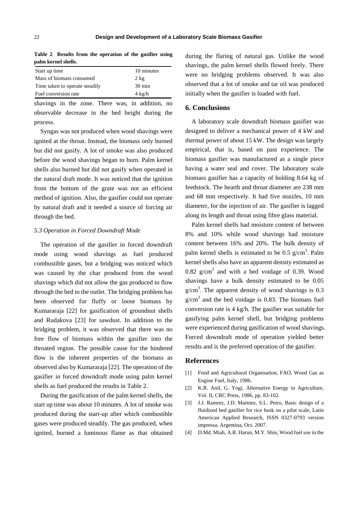| ранн выпи эненэ.               |                  |  |
|--------------------------------|------------------|--|
| Start up time                  | 10 minutes       |  |
| Mass of biomass consumed       | $2 \text{ kg}$   |  |
| Time taken to operate steadily | $30 \text{ min}$ |  |
| Fuel conversion rate           | $4 \text{ kg/h}$ |  |

**Table 2 Results from the operation of the gasifier using palm kernel shells.** 

shavings in the zone. There was, in addition, no observable decrease in the bed height during the process.

Syngas was not produced when wood shavings were ignited at the throat. Instead, the biomass only burned but did not gasify. A lot of smoke was also produced before the wood shavings began to burn. Palm kernel shells also burned but did not gasify when operated in the natural draft mode. It was noticed that the ignition from the bottom of the grate was not an efficient method of ignition. Also, the gasifier could not operate by natural draft and it needed a source of forcing air through the bed.

#### *5.3 Operation in Forced Downdraft Mode*

The operation of the gasifier in forced downdraft mode using wood shavings as fuel produced combustible gases, but a bridging was noticed which was caused by the char produced from the wood shavings which did not allow the gas produced to flow through the bed to the outlet. The bridging problem has been observed for fluffy or loose biomass by Kumararaja [22] for gasification of groundnut shells and Rudakova [23] for sawdust. In addition to the bridging problem, it was observed that there was no free flow of biomass within the gasifier into the throated region. The possible cause for the hindered flow is the inherent properties of the biomass as observed also by Kumararaja [22]. The operation of the gasifier in forced downdraft mode using palm kernel shells as fuel produced the results in Table 2.

During the gasification of the palm kernel shells, the start up time was about 10 minutes. A lot of smoke was produced during the start-up after which combustible gases were produced steadily. The gas produced, when ignited, burned a luminous flame as that obtained during the flaring of natural gas. Unlike the wood shavings, the palm kernel shells flowed freely. There were no bridging problems observed. It was also observed that a lot of smoke and tar oil was produced initially when the gasifier is loaded with fuel.

## **6. Conclusions**

A laboratory scale downdraft biomass gasifier was designed to deliver a mechanical power of 4 kW and thermal power of about 15 kW. The design was largely empirical, that is, based on past experience. The biomass gasifier was manufactured as a single piece having a water seal and cover. The laboratory scale biomass gasifier has a capacity of holding 8.64 kg of feedstock. The hearth and throat diameter are 238 mm and 68 mm respectively. It had five nozzles, 10 mm diameter, for the injection of air. The gasifier is lagged along its length and throat using fibre glass material.

Palm kernel shells had moisture content of between 8% and 10% while wood shavings had moisture content between 16% and 20%. The bulk density of palm kernel shells is estimated to be 0.5  $g/cm<sup>3</sup>$ . Palm kernel shells also have an apparent density estimated as  $0.82 \text{ g/cm}^3$  and with a bed voidage of 0.39. Wood shavings have a bulk density estimated to be 0.05  $g/cm<sup>3</sup>$ . The apparent density of wood shavings is 0.3  $g/cm<sup>3</sup>$  and the bed voidage is 0.83. The biomass fuel conversion rate is 4 kg/h. The gasifier was suitable for gasifying palm kernel shell, but bridging problems were experienced during gasification of wood shavings. Forced downdraft mode of operation yielded better results and is the preferred operation of the gasifier.

## **References**

- [1] Food and Agricultural Organisation, FAO, Wood Gas as Engine Fuel, Italy, 1986.
- [2] K.R. Anil, G. Yogi, Alternative Energy in Agriculture, Vol. II, CRC Press, 1986, pp. 83-102.
- [3] J.J. Ramrez, J.D. Martnez, S.L. Petro, Basic design of a fluidized bed gasifier for rice husk on a pilot scale, Latin American Applied Research, ISSN 0327-0793 version impressa, Argentina, Oct. 2007.
- [4] D.Md. Miah, A.R. Harun, M.Y. Shin, Wood fuel use in the